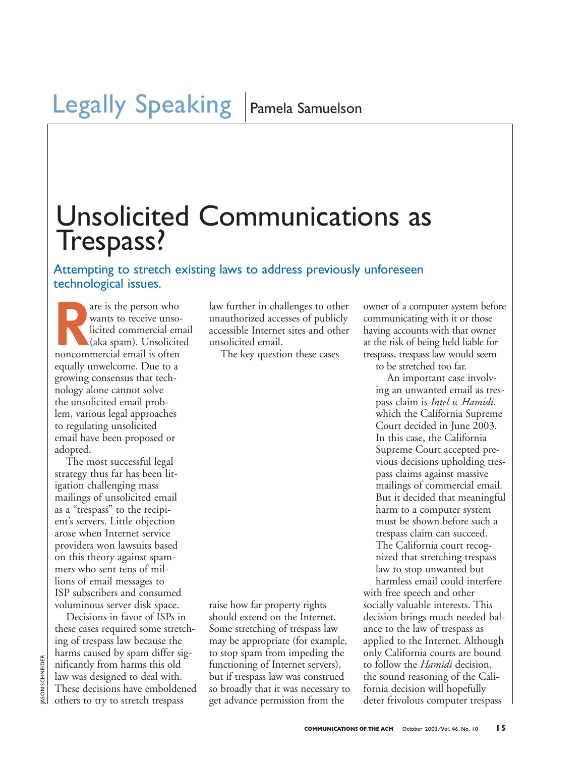### Unsolicited Communications as Trespass?

Attempting to stretch existing laws to address previously unforeseen technological issues.

are is the person who<br>
wants to receive unso<br>
licited commercial em<br>
(aka spam). Unsolicit<br>
noncommercial email is often are is the person who wants to receive unsolicited commercial email (aka spam). Unsolicited equally unwelcome. Due to a growing consensus that technology alone cannot solve the unsolicited email problem, various legal approaches to regulating unsolicited email have been proposed or adopted.

The most successful legal strategy thus far has been litigation challenging mass mailings of unsolicited email as a "trespass" to the recipient's servers. Little objection arose when Internet service providers won lawsuits based on this theory against spammers who sent tens of millions of email messages to ISP subscribers and consumed voluminous server disk space.

Decisions in favor of ISPs in these cases required some stretching of trespass law because the harms caused by spam differ significantly from harms this old law was designed to deal with. These decisions have emboldened others to try to stretch trespass

law further in challenges to other unauthorized accesses of publicly accessible Internet sites and other unsolicited email.

The key question these cases

raise how far property rights should extend on the Internet. Some stretching of trespass law may be appropriate (for example, to stop spam from impeding the functioning of Internet servers), but if trespass law was construed so broadly that it was necessary to get advance permission from the

owner of a computer system before communicating with it or those having accounts with that owner at the risk of being held liable for trespass, trespass law would seem to be stretched too far.

An important case involving an unwanted email as trespass claim is *Intel v. Hamidi*, which the California Supreme Court decided in June 2003. In this case, the California Supreme Court accepted previous decisions upholding trespass claims against massive mailings of commercial email. But it decided that meaningful harm to a computer system must be shown before such a trespass claim can succeed. The California court recognized that stretching trespass law to stop unwanted but harmless email could interfere

with free speech and other socially valuable interests. This decision brings much needed balance to the law of trespass as applied to the Internet. Although only California courts are bound to follow the *Hamidi* decision, the sound reasoning of the California decision will hopefully deter frivolous computer trespass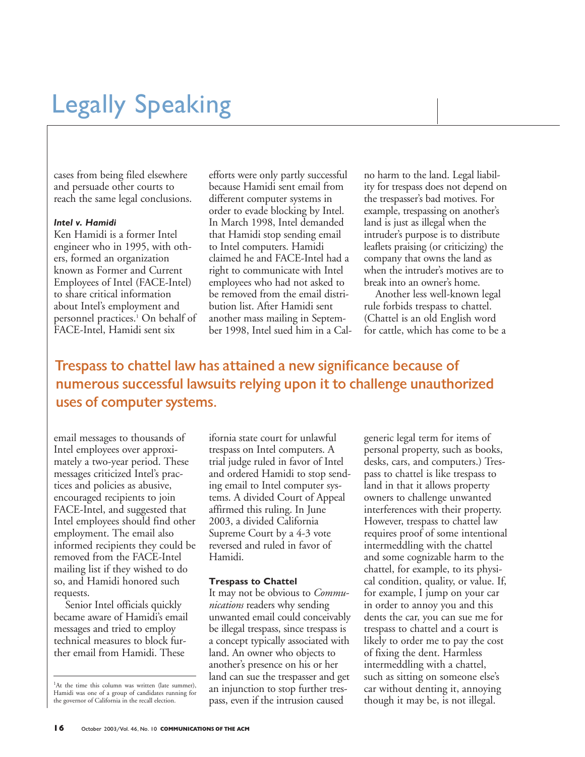## Legally Speaking

cases from being filed elsewhere and persuade other courts to reach the same legal conclusions.

### *Intel v. Hamidi*

Ken Hamidi is a former Intel engineer who in 1995, with others, formed an organization known as Former and Current Employees of Intel (FACE-Intel) to share critical information about Intel's employment and personnel practices.<sup>1</sup> On behalf of FACE-Intel, Hamidi sent six

efforts were only partly successful because Hamidi sent email from different computer systems in order to evade blocking by Intel. In March 1998, Intel demanded that Hamidi stop sending email to Intel computers. Hamidi claimed he and FACE-Intel had a right to communicate with Intel employees who had not asked to be removed from the email distribution list. After Hamidi sent another mass mailing in September 1998, Intel sued him in a Calno harm to the land. Legal liability for trespass does not depend on the trespasser's bad motives. For example, trespassing on another's land is just as illegal when the intruder's purpose is to distribute leaflets praising (or criticizing) the company that owns the land as when the intruder's motives are to break into an owner's home.

Another less well-known legal rule forbids trespass to chattel. (Chattel is an old English word for cattle, which has come to be a

### Trespass to chattel law has attained a new significance because of numerous successful lawsuits relying upon it to challenge unauthorized uses of computer systems.

email messages to thousands of Intel employees over approximately a two-year period. These messages criticized Intel's practices and policies as abusive, encouraged recipients to join FACE-Intel, and suggested that Intel employees should find other employment. The email also informed recipients they could be removed from the FACE-Intel mailing list if they wished to do so, and Hamidi honored such requests.

Senior Intel officials quickly became aware of Hamidi's email messages and tried to employ technical measures to block further email from Hamidi. These

ifornia state court for unlawful trespass on Intel computers. A trial judge ruled in favor of Intel and ordered Hamidi to stop sending email to Intel computer systems. A divided Court of Appeal affirmed this ruling. In June 2003, a divided California Supreme Court by a 4-3 vote reversed and ruled in favor of Hamidi.

### **Trespass to Chattel**

It may not be obvious to *Communications* readers why sending unwanted email could conceivably be illegal trespass, since trespass is a concept typically associated with land. An owner who objects to another's presence on his or her land can sue the trespasser and get an injunction to stop further trespass, even if the intrusion caused

generic legal term for items of personal property, such as books, desks, cars, and computers.) Trespass to chattel is like trespass to land in that it allows property owners to challenge unwanted interferences with their property. However, trespass to chattel law requires proof of some intentional intermeddling with the chattel and some cognizable harm to the chattel, for example, to its physical condition, quality, or value. If, for example, I jump on your car in order to annoy you and this dents the car, you can sue me for trespass to chattel and a court is likely to order me to pay the cost of fixing the dent. Harmless intermeddling with a chattel, such as sitting on someone else's car without denting it, annoying though it may be, is not illegal.

<sup>&</sup>lt;sup>1</sup>At the time this column was written (late summer), Hamidi was one of a group of candidates running for the governor of California in the recall election.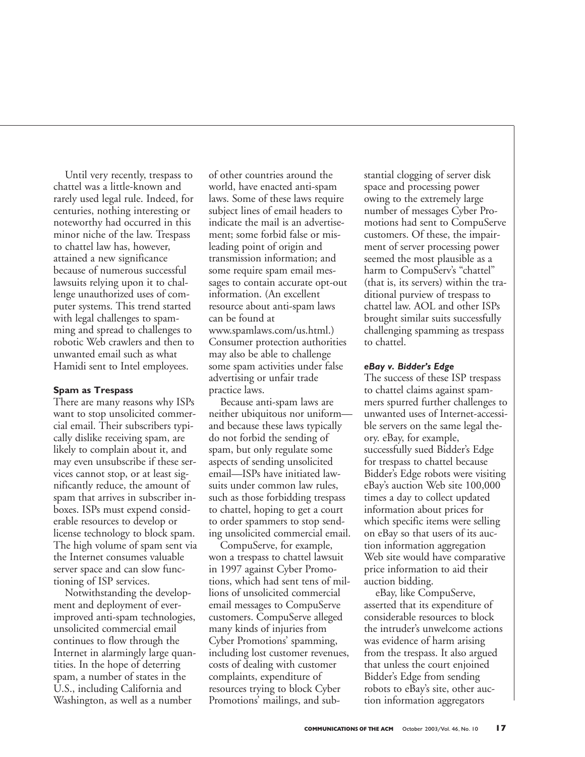Until very recently, trespass to chattel was a little-known and rarely used legal rule. Indeed, for centuries, nothing interesting or noteworthy had occurred in this minor niche of the law. Trespass to chattel law has, however, attained a new significance because of numerous successful lawsuits relying upon it to challenge unauthorized uses of computer systems. This trend started with legal challenges to spamming and spread to challenges to robotic Web crawlers and then to unwanted email such as what Hamidi sent to Intel employees.

### **Spam as Trespass**

There are many reasons why ISPs want to stop unsolicited commercial email. Their subscribers typically dislike receiving spam, are likely to complain about it, and may even unsubscribe if these services cannot stop, or at least significantly reduce, the amount of spam that arrives in subscriber inboxes. ISPs must expend considerable resources to develop or license technology to block spam. The high volume of spam sent via the Internet consumes valuable server space and can slow functioning of ISP services.

Notwithstanding the development and deployment of everimproved anti-spam technologies, unsolicited commercial email continues to flow through the Internet in alarmingly large quantities. In the hope of deterring spam, a number of states in the U.S., including California and Washington, as well as a number

of other countries around the world, have enacted anti-spam laws. Some of these laws require subject lines of email headers to indicate the mail is an advertisement; some forbid false or misleading point of origin and transmission information; and some require spam email messages to contain accurate opt-out information. (An excellent resource about anti-spam laws can be found at www.spamlaws.com/us.html.) Consumer protection authorities may also be able to challenge some spam activities under false advertising or unfair trade practice laws.

Because anti-spam laws are neither ubiquitous nor uniform and because these laws typically do not forbid the sending of spam, but only regulate some aspects of sending unsolicited email—ISPs have initiated lawsuits under common law rules, such as those forbidding trespass to chattel, hoping to get a court to order spammers to stop sending unsolicited commercial email.

CompuServe, for example, won a trespass to chattel lawsuit in 1997 against Cyber Promotions, which had sent tens of millions of unsolicited commercial email messages to CompuServe customers. CompuServe alleged many kinds of injuries from Cyber Promotions' spamming, including lost customer revenues, costs of dealing with customer complaints, expenditure of resources trying to block Cyber Promotions' mailings, and substantial clogging of server disk space and processing power owing to the extremely large number of messages Cyber Promotions had sent to CompuServe customers. Of these, the impairment of server processing power seemed the most plausible as a harm to CompuServ's "chattel" (that is, its servers) within the traditional purview of trespass to chattel law. AOL and other ISPs brought similar suits successfully challenging spamming as trespass to chattel.

#### *eBay v. Bidder's Edge*

The success of these ISP trespass to chattel claims against spammers spurred further challenges to unwanted uses of Internet-accessible servers on the same legal theory. eBay, for example, successfully sued Bidder's Edge for trespass to chattel because Bidder's Edge robots were visiting eBay's auction Web site 100,000 times a day to collect updated information about prices for which specific items were selling on eBay so that users of its auction information aggregation Web site would have comparative price information to aid their auction bidding.

eBay, like CompuServe, asserted that its expenditure of considerable resources to block the intruder's unwelcome actions was evidence of harm arising from the trespass. It also argued that unless the court enjoined Bidder's Edge from sending robots to eBay's site, other auction information aggregators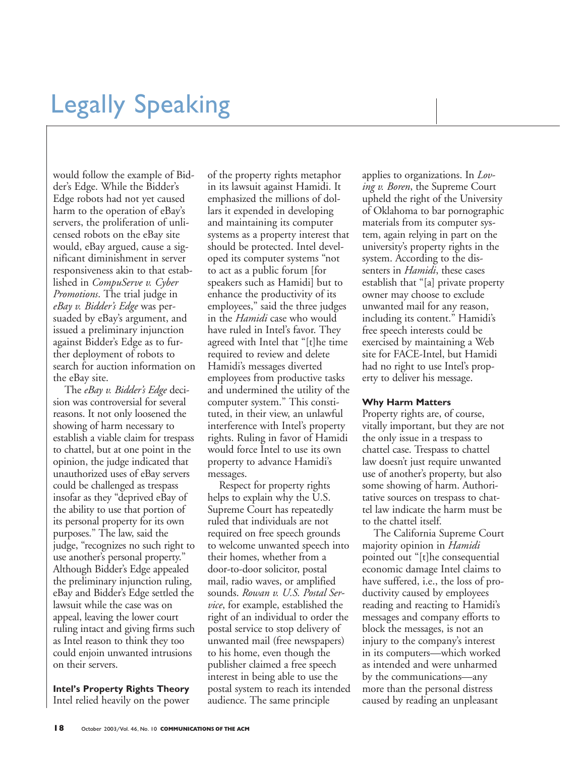# Legally Speaking

would follow the example of Bidder's Edge. While the Bidder's Edge robots had not yet caused harm to the operation of eBay's servers, the proliferation of unlicensed robots on the eBay site would, eBay argued, cause a significant diminishment in server responsiveness akin to that established in *CompuServe v. Cyber Promotions*. The trial judge in *eBay v. Bidder's Edge* was persuaded by eBay's argument, and issued a preliminary injunction against Bidder's Edge as to further deployment of robots to search for auction information on the eBay site.

The *eBay v. Bidder's Edge* decision was controversial for several reasons. It not only loosened the showing of harm necessary to establish a viable claim for trespass to chattel, but at one point in the opinion, the judge indicated that unauthorized uses of eBay servers could be challenged as trespass insofar as they "deprived eBay of the ability to use that portion of its personal property for its own purposes." The law, said the judge, "recognizes no such right to use another's personal property." Although Bidder's Edge appealed the preliminary injunction ruling, eBay and Bidder's Edge settled the lawsuit while the case was on appeal, leaving the lower court ruling intact and giving firms such as Intel reason to think they too could enjoin unwanted intrusions on their servers.

**Intel's Property Rights Theory**  Intel relied heavily on the power

of the property rights metaphor in its lawsuit against Hamidi. It emphasized the millions of dollars it expended in developing and maintaining its computer systems as a property interest that should be protected. Intel developed its computer systems "not to act as a public forum [for speakers such as Hamidi] but to enhance the productivity of its employees," said the three judges in the *Hamidi* case who would have ruled in Intel's favor. They agreed with Intel that "[t]he time required to review and delete Hamidi's messages diverted employees from productive tasks and undermined the utility of the computer system." This constituted, in their view, an unlawful interference with Intel's property rights. Ruling in favor of Hamidi would force Intel to use its own property to advance Hamidi's messages.

Respect for property rights helps to explain why the U.S. Supreme Court has repeatedly ruled that individuals are not required on free speech grounds to welcome unwanted speech into their homes, whether from a door-to-door solicitor, postal mail, radio waves, or amplified sounds. *Rowan v. U.S. Postal Service*, for example, established the right of an individual to order the postal service to stop delivery of unwanted mail (free newspapers) to his home, even though the publisher claimed a free speech interest in being able to use the postal system to reach its intended audience. The same principle

applies to organizations. In *Loving v. Boren*, the Supreme Court upheld the right of the University of Oklahoma to bar pornographic materials from its computer system, again relying in part on the university's property rights in the system. According to the dissenters in *Hamidi*, these cases establish that "[a] private property owner may choose to exclude unwanted mail for any reason, including its content." Hamidi's free speech interests could be exercised by maintaining a Web site for FACE-Intel, but Hamidi had no right to use Intel's property to deliver his message.

### **Why Harm Matters**

Property rights are, of course, vitally important, but they are not the only issue in a trespass to chattel case. Trespass to chattel law doesn't just require unwanted use of another's property, but also some showing of harm. Authoritative sources on trespass to chattel law indicate the harm must be to the chattel itself.

The California Supreme Court majority opinion in *Hamidi* pointed out "[t]he consequential economic damage Intel claims to have suffered, i.e., the loss of productivity caused by employees reading and reacting to Hamidi's messages and company efforts to block the messages, is not an injury to the company's interest in its computers—which worked as intended and were unharmed by the communications—any more than the personal distress caused by reading an unpleasant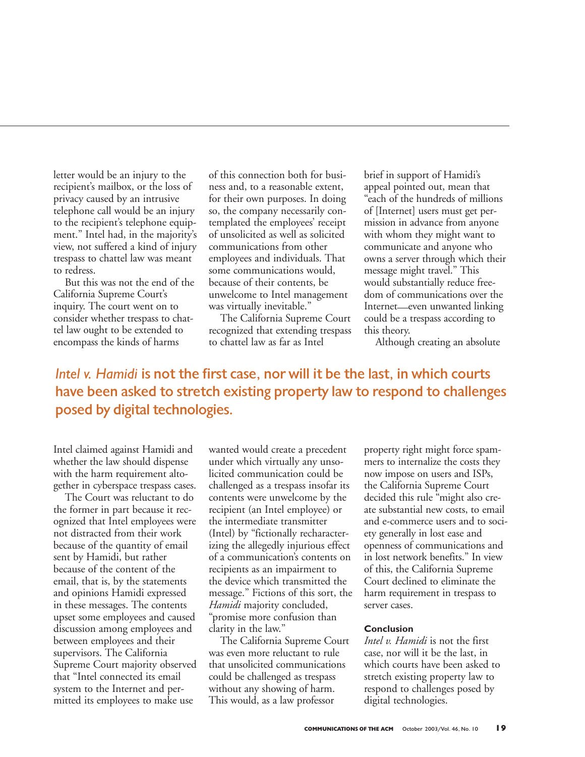letter would be an injury to the recipient's mailbox, or the loss of privacy caused by an intrusive telephone call would be an injury to the recipient's telephone equipment." Intel had, in the majority's view, not suffered a kind of injury trespass to chattel law was meant to redress.

But this was not the end of the California Supreme Court's inquiry. The court went on to consider whether trespass to chattel law ought to be extended to encompass the kinds of harms

of this connection both for business and, to a reasonable extent, for their own purposes. In doing so, the company necessarily contemplated the employees' receipt of unsolicited as well as solicited communications from other employees and individuals. That some communications would, because of their contents, be unwelcome to Intel management was virtually inevitable."

The California Supreme Court recognized that extending trespass to chattel law as far as Intel

brief in support of Hamidi's appeal pointed out, mean that "each of the hundreds of millions of [Internet] users must get permission in advance from anyone with whom they might want to communicate and anyone who owns a server through which their message might travel." This would substantially reduce freedom of communications over the Internet—even unwanted linking could be a trespass according to this theory.

Although creating an absolute

### Intel v. Hamidi is not the first case, nor will it be the last, in which courts have been asked to stretch existing property law to respond to challenges posed by digital technologies.

Intel claimed against Hamidi and whether the law should dispense with the harm requirement altogether in cyberspace trespass cases.

The Court was reluctant to do the former in part because it recognized that Intel employees were not distracted from their work because of the quantity of email sent by Hamidi, but rather because of the content of the email, that is, by the statements and opinions Hamidi expressed in these messages. The contents upset some employees and caused discussion among employees and between employees and their supervisors. The California Supreme Court majority observed that "Intel connected its email system to the Internet and permitted its employees to make use

wanted would create a precedent under which virtually any unsolicited communication could be challenged as a trespass insofar its contents were unwelcome by the recipient (an Intel employee) or the intermediate transmitter (Intel) by "fictionally recharacterizing the allegedly injurious effect of a communication's contents on recipients as an impairment to the device which transmitted the message." Fictions of this sort, the *Hamidi* majority concluded, "promise more confusion than clarity in the law."

The California Supreme Court was even more reluctant to rule that unsolicited communications could be challenged as trespass without any showing of harm. This would, as a law professor

property right might force spammers to internalize the costs they now impose on users and ISPs, the California Supreme Court decided this rule "might also create substantial new costs, to email and e-commerce users and to society generally in lost ease and openness of communications and in lost network benefits." In view of this, the California Supreme Court declined to eliminate the harm requirement in trespass to server cases.

### **Conclusion**

*Intel v. Hamidi* is not the first case, nor will it be the last, in which courts have been asked to stretch existing property law to respond to challenges posed by digital technologies.